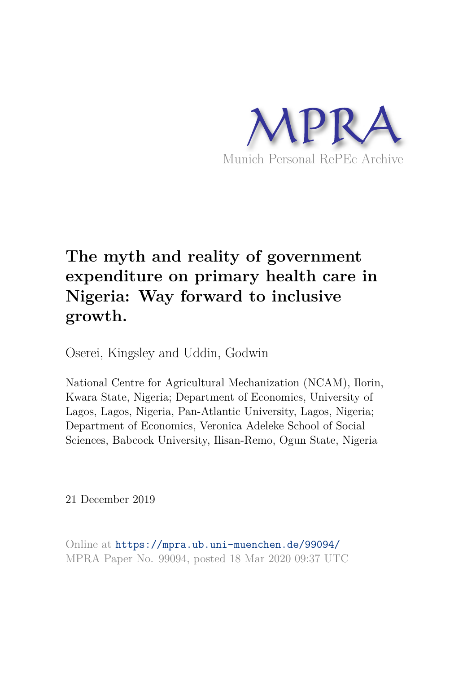

# **The myth and reality of government expenditure on primary health care in Nigeria: Way forward to inclusive growth.**

Oserei, Kingsley and Uddin, Godwin

National Centre for Agricultural Mechanization (NCAM), Ilorin, Kwara State, Nigeria; Department of Economics, University of Lagos, Lagos, Nigeria, Pan-Atlantic University, Lagos, Nigeria; Department of Economics, Veronica Adeleke School of Social Sciences, Babcock University, Ilisan-Remo, Ogun State, Nigeria

21 December 2019

Online at https://mpra.ub.uni-muenchen.de/99094/ MPRA Paper No. 99094, posted 18 Mar 2020 09:37 UTC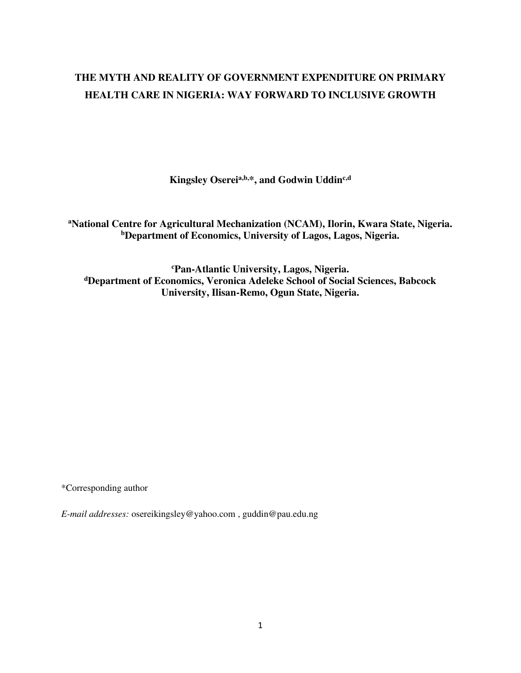# **THE MYTH AND REALITY OF GOVERNMENT EXPENDITURE ON PRIMARY HEALTH CARE IN NIGERIA: WAY FORWARD TO INCLUSIVE GROWTH**

**Kingsley Osereia,b,\*, and Godwin Uddinc,d**

**<sup>a</sup>National Centre for Agricultural Mechanization (NCAM), Ilorin, Kwara State, Nigeria. <sup>b</sup>Department of Economics, University of Lagos, Lagos, Nigeria.**

**<sup>c</sup>Pan-Atlantic University, Lagos, Nigeria. <sup>d</sup>Department of Economics, Veronica Adeleke School of Social Sciences, Babcock University, Ilisan-Remo, Ogun State, Nigeria.** 

\*Corresponding author

*E-mail addresses:* [osereikingsley@yahoo.com](mailto:osereikingsley@yahoo.com) , [guddin@pau.edu.ng](mailto:guddin@pau.edu.ng)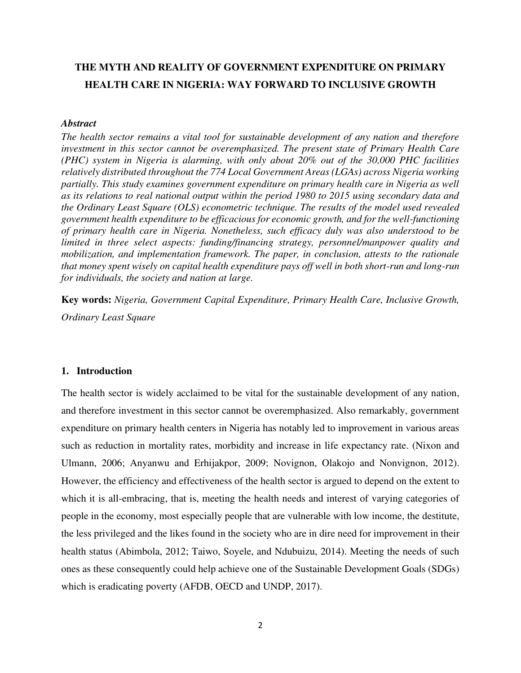# **THE MYTH AND REALITY OF GOVERNMENT EXPENDITURE ON PRIMARY HEALTH CARE IN NIGERIA: WAY FORWARD TO INCLUSIVE GROWTH**

#### *Abstract*

*The health sector remains a vital tool for sustainable development of any nation and therefore investment in this sector cannot be overemphasized. The present state of Primary Health Care (PHC) system in Nigeria is alarming, with only about 20% out of the 30,000 PHC facilities relatively distributed throughout the 774 Local Government Areas (LGAs) across Nigeria working partially. This study examines government expenditure on primary health care in Nigeria as well as its relations to real national output within the period 1980 to 2015 using secondary data and the Ordinary Least Square (OLS) econometric technique. The results of the model used revealed government health expenditure to be efficacious for economic growth, and for the well-functioning of primary health care in Nigeria. Nonetheless, such efficacy duly was also understood to be limited in three select aspects: funding/financing strategy, personnel/manpower quality and mobilization, and implementation framework. The paper, in conclusion, attests to the rationale that money spent wisely on capital health expenditure pays off well in both short-run and long-run for individuals, the society and nation at large.* 

**Key words:** *Nigeria, Government Capital Expenditure, Primary Health Care, Inclusive Growth, Ordinary Least Square* 

#### **1. Introduction**

The health sector is widely acclaimed to be vital for the sustainable development of any nation, and therefore investment in this sector cannot be overemphasized. Also remarkably, government expenditure on primary health centers in Nigeria has notably led to improvement in various areas such as reduction in mortality rates, morbidity and increase in life expectancy rate. (Nixon and Ulmann, 2006; Anyanwu and Erhijakpor, 2009; Novignon, Olakojo and Nonvignon, 2012). However, the efficiency and effectiveness of the health sector is argued to depend on the extent to which it is all-embracing, that is, meeting the health needs and interest of varying categories of people in the economy, most especially people that are vulnerable with low income, the destitute, the less privileged and the likes found in the society who are in dire need for improvement in their health status (Abimbola, 2012; Taiwo, Soyele, and Ndubuizu, 2014). Meeting the needs of such ones as these consequently could help achieve one of the Sustainable Development Goals (SDGs) which is eradicating poverty (AFDB, OECD and UNDP, 2017).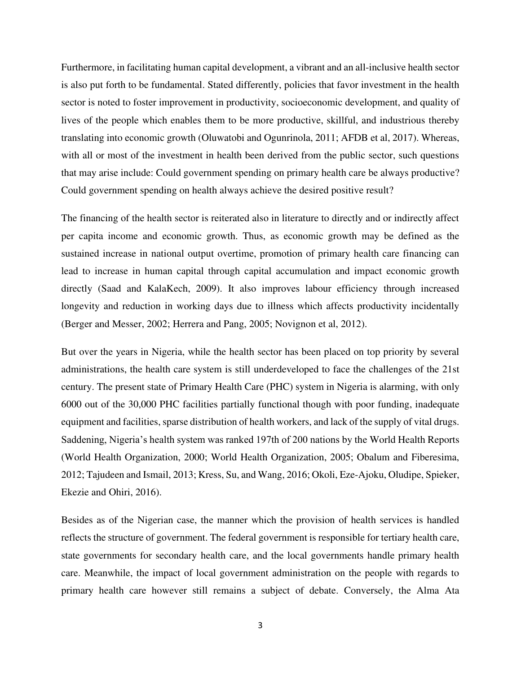Furthermore, in facilitating human capital development, a vibrant and an all-inclusive health sector is also put forth to be fundamental. Stated differently, policies that favor investment in the health sector is noted to foster improvement in productivity, socioeconomic development, and quality of lives of the people which enables them to be more productive, skillful, and industrious thereby translating into economic growth (Oluwatobi and Ogunrinola, 2011; AFDB et al, 2017). Whereas, with all or most of the investment in health been derived from the public sector, such questions that may arise include: Could government spending on primary health care be always productive? Could government spending on health always achieve the desired positive result?

The financing of the health sector is reiterated also in literature to directly and or indirectly affect per capita income and economic growth. Thus, as economic growth may be defined as the sustained increase in national output overtime, promotion of primary health care financing can lead to increase in human capital through capital accumulation and impact economic growth directly (Saad and KalaKech, 2009). It also improves labour efficiency through increased longevity and reduction in working days due to illness which affects productivity incidentally (Berger and Messer, 2002; Herrera and Pang, 2005; Novignon et al, 2012).

But over the years in Nigeria, while the health sector has been placed on top priority by several administrations, the health care system is still underdeveloped to face the challenges of the 21st century. The present state of Primary Health Care (PHC) system in Nigeria is alarming, with only 6000 out of the 30,000 PHC facilities partially functional though with poor funding, inadequate equipment and facilities, sparse distribution of health workers, and lack of the supply of vital drugs. Saddening, Nigeria's health system was ranked 197th of 200 nations by the World Health Reports (World Health Organization, 2000; World Health Organization, 2005; Obalum and Fiberesima, 2012; Tajudeen and Ismail, 2013; Kress, Su, and Wang, 2016; Okoli, Eze-Ajoku, Oludipe, Spieker, Ekezie and Ohiri, 2016).

Besides as of the Nigerian case, the manner which the provision of health services is handled reflects the structure of government. The federal government is responsible for tertiary health care, state governments for secondary health care, and the local governments handle primary health care. Meanwhile, the impact of local government administration on the people with regards to primary health care however still remains a subject of debate. Conversely, the Alma Ata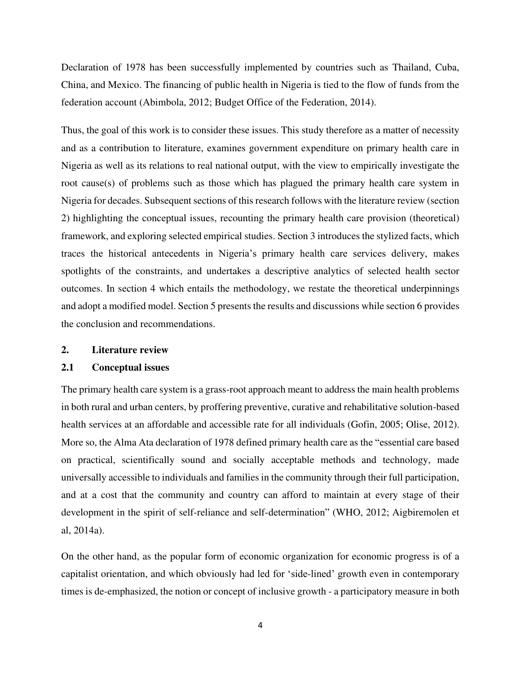Declaration of 1978 has been successfully implemented by countries such as Thailand, Cuba, China, and Mexico. The financing of public health in Nigeria is tied to the flow of funds from the federation account (Abimbola, 2012; Budget Office of the Federation, 2014).

Thus, the goal of this work is to consider these issues. This study therefore as a matter of necessity and as a contribution to literature, examines government expenditure on primary health care in Nigeria as well as its relations to real national output, with the view to empirically investigate the root cause(s) of problems such as those which has plagued the primary health care system in Nigeria for decades. Subsequent sections of this research follows with the literature review (section 2) highlighting the conceptual issues, recounting the primary health care provision (theoretical) framework, and exploring selected empirical studies. Section 3 introduces the stylized facts, which traces the historical antecedents in Nigeria's primary health care services delivery, makes spotlights of the constraints, and undertakes a descriptive analytics of selected health sector outcomes. In section 4 which entails the methodology, we restate the theoretical underpinnings and adopt a modified model. Section 5 presents the results and discussions while section 6 provides the conclusion and recommendations.

#### **2. Literature review**

#### **2.1 Conceptual issues**

The primary health care system is a grass-root approach meant to address the main health problems in both rural and urban centers, by proffering preventive, curative and rehabilitative solution-based health services at an affordable and accessible rate for all individuals (Gofin, 2005; Olise, 2012). More so, the Alma Ata declaration of 1978 defined primary health care as the "essential care based on practical, scientifically sound and socially acceptable methods and technology, made universally accessible to individuals and families in the community through their full participation, and at a cost that the community and country can afford to maintain at every stage of their development in the spirit of self-reliance and self-determination" (WHO, 2012; Aigbiremolen et al, 2014a).

On the other hand, as the popular form of economic organization for economic progress is of a capitalist orientation, and which obviously had led for 'side-lined' growth even in contemporary times is de-emphasized, the notion or concept of inclusive growth - a participatory measure in both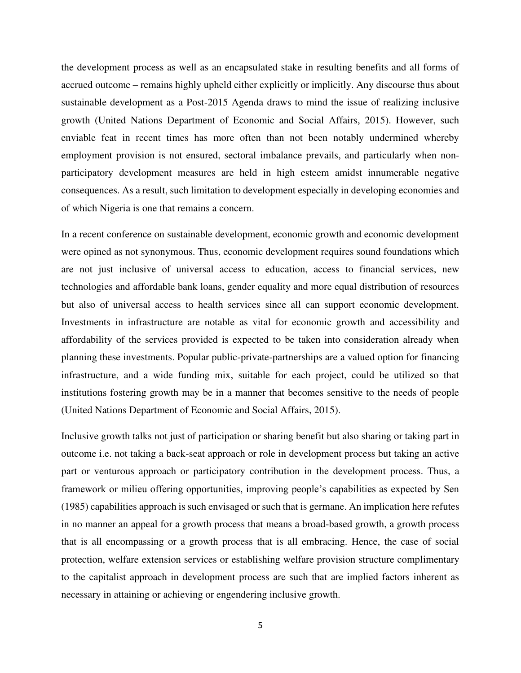the development process as well as an encapsulated stake in resulting benefits and all forms of accrued outcome – remains highly upheld either explicitly or implicitly. Any discourse thus about sustainable development as a Post-2015 Agenda draws to mind the issue of realizing inclusive growth (United Nations Department of Economic and Social Affairs, 2015). However, such enviable feat in recent times has more often than not been notably undermined whereby employment provision is not ensured, sectoral imbalance prevails, and particularly when nonparticipatory development measures are held in high esteem amidst innumerable negative consequences. As a result, such limitation to development especially in developing economies and of which Nigeria is one that remains a concern.

In a recent conference on sustainable development, economic growth and economic development were opined as not synonymous. Thus, economic development requires sound foundations which are not just inclusive of universal access to education, access to financial services, new technologies and affordable bank loans, gender equality and more equal distribution of resources but also of universal access to health services since all can support economic development. Investments in infrastructure are notable as vital for economic growth and accessibility and affordability of the services provided is expected to be taken into consideration already when planning these investments. Popular public-private-partnerships are a valued option for financing infrastructure, and a wide funding mix, suitable for each project, could be utilized so that institutions fostering growth may be in a manner that becomes sensitive to the needs of people (United Nations Department of Economic and Social Affairs, 2015).

Inclusive growth talks not just of participation or sharing benefit but also sharing or taking part in outcome i.e. not taking a back-seat approach or role in development process but taking an active part or venturous approach or participatory contribution in the development process. Thus, a framework or milieu offering opportunities, improving people's capabilities as expected by Sen (1985) capabilities approach is such envisaged or such that is germane. An implication here refutes in no manner an appeal for a growth process that means a broad-based growth, a growth process that is all encompassing or a growth process that is all embracing. Hence, the case of social protection, welfare extension services or establishing welfare provision structure complimentary to the capitalist approach in development process are such that are implied factors inherent as necessary in attaining or achieving or engendering inclusive growth.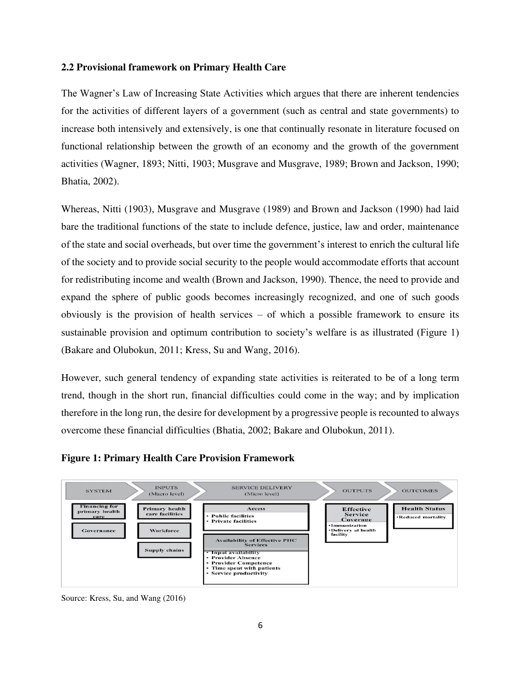### **2.2 Provisional framework on Primary Health Care**

The Wagner's Law of Increasing State Activities which argues that there are inherent tendencies for the activities of different layers of a government (such as central and state governments) to increase both intensively and extensively, is one that continually resonate in literature focused on functional relationship between the growth of an economy and the growth of the government activities (Wagner, 1893; Nitti, 1903; Musgrave and Musgrave, 1989; Brown and Jackson, 1990; Bhatia, 2002).

Whereas, Nitti (1903), Musgrave and Musgrave (1989) and Brown and Jackson (1990) had laid bare the traditional functions of the state to include defence, justice, law and order, maintenance of the state and social overheads, but over time the government's interest to enrich the cultural life of the society and to provide social security to the people would accommodate efforts that account for redistributing income and wealth (Brown and Jackson, 1990). Thence, the need to provide and expand the sphere of public goods becomes increasingly recognized, and one of such goods obviously is the provision of health services – of which a possible framework to ensure its sustainable provision and optimum contribution to society's welfare is as illustrated (Figure 1) (Bakare and Olubokun, 2011; Kress, Su and Wang, 2016).

However, such general tendency of expanding state activities is reiterated to be of a long term trend, though in the short run, financial difficulties could come in the way; and by implication therefore in the long run, the desire for development by a progressive people is recounted to always overcome these financial difficulties (Bhatia, 2002; Bakare and Olubokun, 2011).





Source: Kress, Su, and Wang (2016)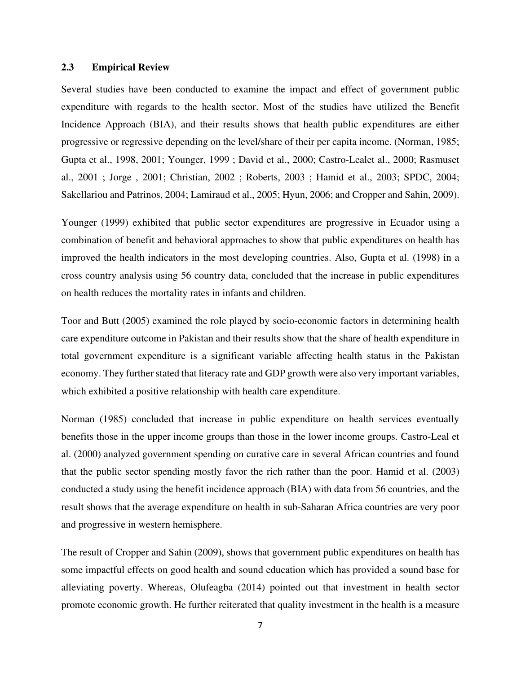#### **2.3 Empirical Review**

Several studies have been conducted to examine the impact and effect of government public expenditure with regards to the health sector. Most of the studies have utilized the Benefit Incidence Approach (BIA), and their results shows that health public expenditures are either progressive or regressive depending on the level/share of their per capita income. (Norman, 1985; Gupta et al., 1998, 2001; Younger, 1999 ; David et al., 2000; Castro-Lealet al., 2000; Rasmuset al., 2001 ; Jorge , 2001; Christian, 2002 ; Roberts, 2003 ; Hamid et al., 2003; SPDC, 2004; Sakellariou and Patrinos, 2004; Lamiraud et al., 2005; Hyun, 2006; and Cropper and Sahin, 2009).

Younger (1999) exhibited that public sector expenditures are progressive in Ecuador using a combination of benefit and behavioral approaches to show that public expenditures on health has improved the health indicators in the most developing countries. Also, Gupta et al. (1998) in a cross country analysis using 56 country data, concluded that the increase in public expenditures on health reduces the mortality rates in infants and children.

Toor and Butt (2005) examined the role played by socio-economic factors in determining health care expenditure outcome in Pakistan and their results show that the share of health expenditure in total government expenditure is a significant variable affecting health status in the Pakistan economy. They further stated that literacy rate and GDP growth were also very important variables, which exhibited a positive relationship with health care expenditure.

Norman (1985) concluded that increase in public expenditure on health services eventually benefits those in the upper income groups than those in the lower income groups. Castro-Leal et al. (2000) analyzed government spending on curative care in several African countries and found that the public sector spending mostly favor the rich rather than the poor. Hamid et al. (2003) conducted a study using the benefit incidence approach (BIA) with data from 56 countries, and the result shows that the average expenditure on health in sub-Saharan Africa countries are very poor and progressive in western hemisphere.

The result of Cropper and Sahin (2009), shows that government public expenditures on health has some impactful effects on good health and sound education which has provided a sound base for alleviating poverty. Whereas, Olufeagba (2014) pointed out that investment in health sector promote economic growth. He further reiterated that quality investment in the health is a measure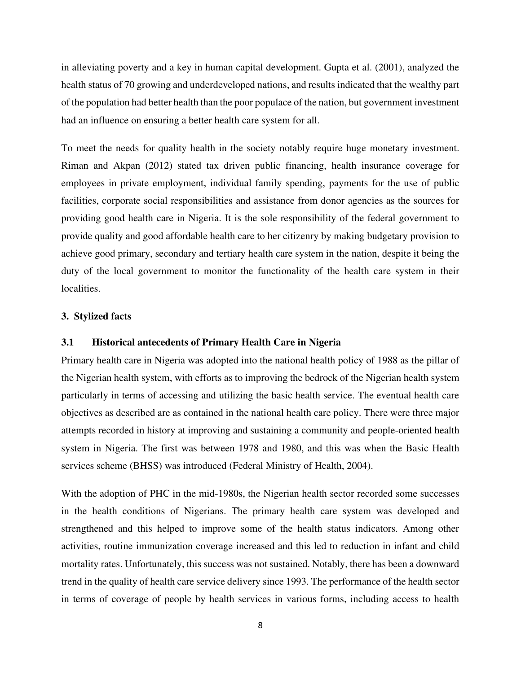in alleviating poverty and a key in human capital development. Gupta et al. (2001), analyzed the health status of 70 growing and underdeveloped nations, and results indicated that the wealthy part of the population had better health than the poor populace of the nation, but government investment had an influence on ensuring a better health care system for all.

To meet the needs for quality health in the society notably require huge monetary investment. Riman and Akpan (2012) stated tax driven public financing, health insurance coverage for employees in private employment, individual family spending, payments for the use of public facilities, corporate social responsibilities and assistance from donor agencies as the sources for providing good health care in Nigeria. It is the sole responsibility of the federal government to provide quality and good affordable health care to her citizenry by making budgetary provision to achieve good primary, secondary and tertiary health care system in the nation, despite it being the duty of the local government to monitor the functionality of the health care system in their localities.

#### **3. Stylized facts**

#### **3.1 Historical antecedents of Primary Health Care in Nigeria**

Primary health care in Nigeria was adopted into the national health policy of 1988 as the pillar of the Nigerian health system, with efforts as to improving the bedrock of the Nigerian health system particularly in terms of accessing and utilizing the basic health service. The eventual health care objectives as described are as contained in the national health care policy. There were three major attempts recorded in history at improving and sustaining a community and people-oriented health system in Nigeria. The first was between 1978 and 1980, and this was when the Basic Health services scheme (BHSS) was introduced (Federal Ministry of Health, 2004).

With the adoption of PHC in the mid-1980s, the Nigerian health sector recorded some successes in the health conditions of Nigerians. The primary health care system was developed and strengthened and this helped to improve some of the health status indicators. Among other activities, routine immunization coverage increased and this led to reduction in infant and child mortality rates. Unfortunately, this success was not sustained. Notably, there has been a downward trend in the quality of health care service delivery since 1993. The performance of the health sector in terms of coverage of people by health services in various forms, including access to health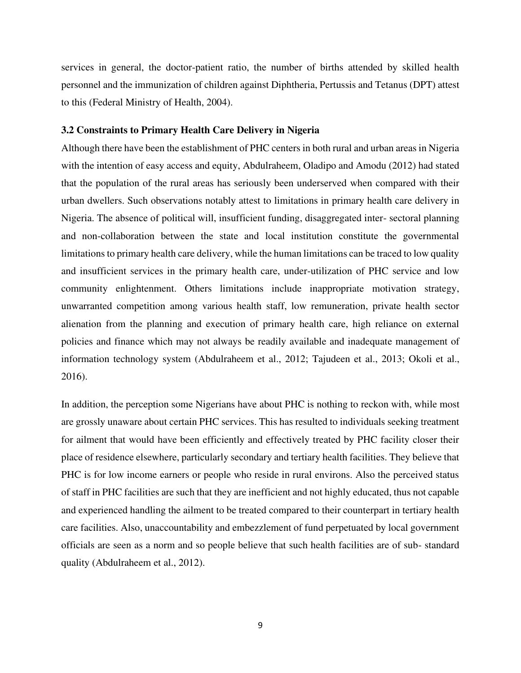services in general, the doctor-patient ratio, the number of births attended by skilled health personnel and the immunization of children against Diphtheria, Pertussis and Tetanus (DPT) attest to this (Federal Ministry of Health, 2004).

#### **3.2 Constraints to Primary Health Care Delivery in Nigeria**

Although there have been the establishment of PHC centers in both rural and urban areas in Nigeria with the intention of easy access and equity, Abdulraheem, Oladipo and Amodu (2012) had stated that the population of the rural areas has seriously been underserved when compared with their urban dwellers. Such observations notably attest to limitations in primary health care delivery in Nigeria. The absence of political will, insufficient funding, disaggregated inter- sectoral planning and non-collaboration between the state and local institution constitute the governmental limitations to primary health care delivery, while the human limitations can be traced to low quality and insufficient services in the primary health care, under-utilization of PHC service and low community enlightenment. Others limitations include inappropriate motivation strategy, unwarranted competition among various health staff, low remuneration, private health sector alienation from the planning and execution of primary health care, high reliance on external policies and finance which may not always be readily available and inadequate management of information technology system (Abdulraheem et al., 2012; Tajudeen et al., 2013; Okoli et al., 2016).

In addition, the perception some Nigerians have about PHC is nothing to reckon with, while most are grossly unaware about certain PHC services. This has resulted to individuals seeking treatment for ailment that would have been efficiently and effectively treated by PHC facility closer their place of residence elsewhere, particularly secondary and tertiary health facilities. They believe that PHC is for low income earners or people who reside in rural environs. Also the perceived status of staff in PHC facilities are such that they are inefficient and not highly educated, thus not capable and experienced handling the ailment to be treated compared to their counterpart in tertiary health care facilities. Also, unaccountability and embezzlement of fund perpetuated by local government officials are seen as a norm and so people believe that such health facilities are of sub- standard quality (Abdulraheem et al., 2012).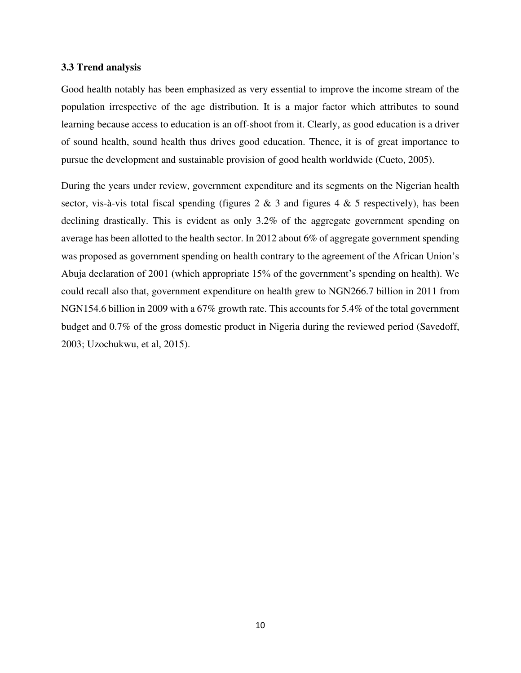#### **3.3 Trend analysis**

Good health notably has been emphasized as very essential to improve the income stream of the population irrespective of the age distribution. It is a major factor which attributes to sound learning because access to education is an off-shoot from it. Clearly, as good education is a driver of sound health, sound health thus drives good education. Thence, it is of great importance to pursue the development and sustainable provision of good health worldwide (Cueto, 2005).

During the years under review, government expenditure and its segments on the Nigerian health sector, vis-à-vis total fiscal spending (figures  $2 \& 3$  and figures  $4 \& 5$  respectively), has been declining drastically. This is evident as only 3.2% of the aggregate government spending on average has been allotted to the health sector. In 2012 about 6% of aggregate government spending was proposed as government spending on health contrary to the agreement of the African Union's Abuja declaration of 2001 (which appropriate 15% of the government's spending on health). We could recall also that, government expenditure on health grew to NGN266.7 billion in 2011 from NGN154.6 billion in 2009 with a 67% growth rate. This accounts for 5.4% of the total government budget and 0.7% of the gross domestic product in Nigeria during the reviewed period (Savedoff, 2003; Uzochukwu, et al, 2015).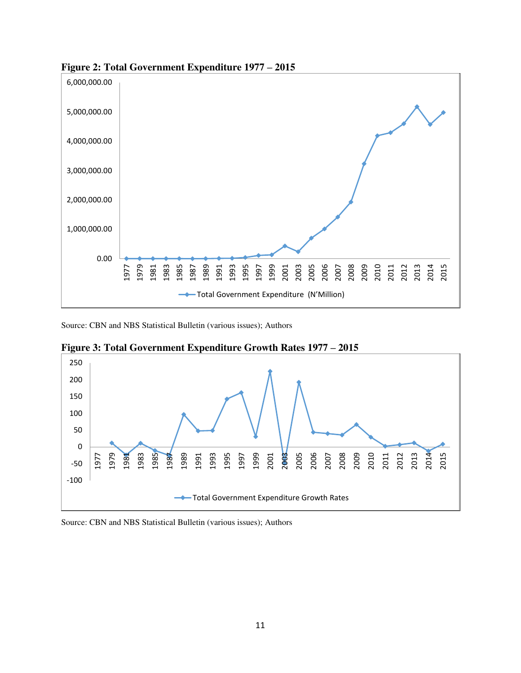

**Figure 2: Total Government Expenditure 1977 – 2015** 

Source: CBN and NBS Statistical Bulletin (various issues); Authors



**Figure 3: Total Government Expenditure Growth Rates 1977 – 2015** 

Source: CBN and NBS Statistical Bulletin (various issues); Authors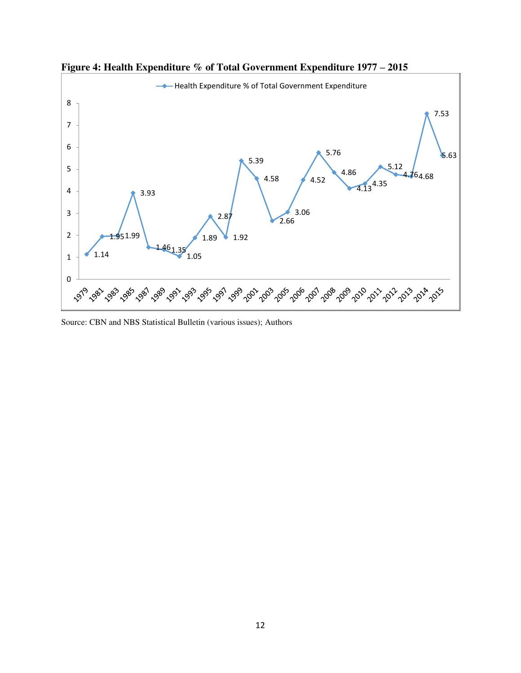

**Figure 4: Health Expenditure % of Total Government Expenditure 1977 – 2015** 

Source: CBN and NBS Statistical Bulletin (various issues); Authors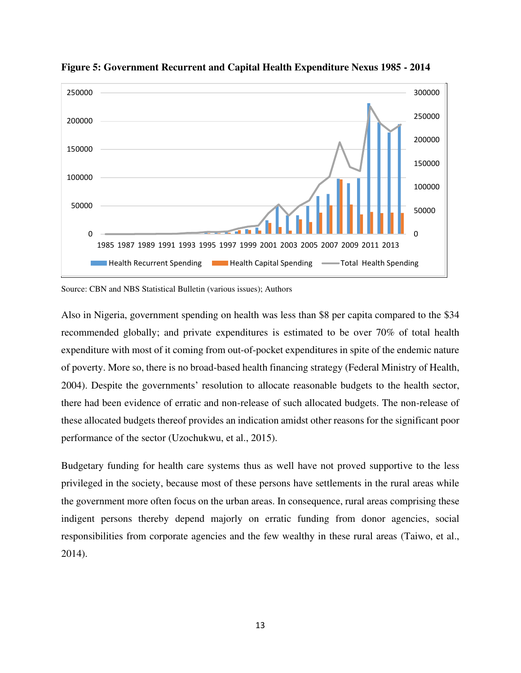

**Figure 5: Government Recurrent and Capital Health Expenditure Nexus 1985 - 2014** 

Source: CBN and NBS Statistical Bulletin (various issues); Authors

Also in Nigeria, government spending on health was less than \$8 per capita compared to the \$34 recommended globally; and private expenditures is estimated to be over 70% of total health expenditure with most of it coming from out-of-pocket expenditures in spite of the endemic nature of poverty. More so, there is no broad-based health financing strategy (Federal Ministry of Health, 2004). Despite the governments' resolution to allocate reasonable budgets to the health sector, there had been evidence of erratic and non-release of such allocated budgets. The non-release of these allocated budgets thereof provides an indication amidst other reasons for the significant poor performance of the sector (Uzochukwu, et al., 2015).

Budgetary funding for health care systems thus as well have not proved supportive to the less privileged in the society, because most of these persons have settlements in the rural areas while the government more often focus on the urban areas. In consequence, rural areas comprising these indigent persons thereby depend majorly on erratic funding from donor agencies, social responsibilities from corporate agencies and the few wealthy in these rural areas (Taiwo, et al., 2014).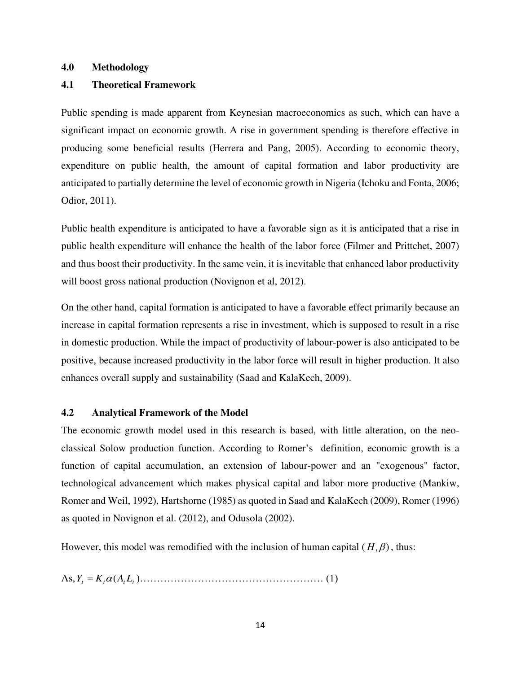#### **4.0 Methodology**

#### **4.1 Theoretical Framework**

Public spending is made apparent from Keynesian macroeconomics as such, which can have a significant impact on economic growth. A rise in government spending is therefore effective in producing some beneficial results (Herrera and Pang, 2005). According to economic theory, expenditure on public health, the amount of capital formation and labor productivity are anticipated to partially determine the level of economic growth in Nigeria (Ichoku and Fonta, 2006; Odior, 2011).

Public health expenditure is anticipated to have a favorable sign as it is anticipated that a rise in public health expenditure will enhance the health of the labor force (Filmer and Prittchet, 2007) and thus boost their productivity. In the same vein, it is inevitable that enhanced labor productivity will boost gross national production (Novignon et al, 2012).

On the other hand, capital formation is anticipated to have a favorable effect primarily because an increase in capital formation represents a rise in investment, which is supposed to result in a rise in domestic production. While the impact of productivity of labour-power is also anticipated to be positive, because increased productivity in the labor force will result in higher production. It also enhances overall supply and sustainability (Saad and KalaKech, 2009).

#### **4.2 Analytical Framework of the Model**

The economic growth model used in this research is based, with little alteration, on the neoclassical Solow production function. According to Romer's definition, economic growth is a function of capital accumulation, an extension of labour-power and an "exogenous" factor, technological advancement which makes physical capital and labor more productive (Mankiw, Romer and Weil, 1992), Hartshorne (1985) as quoted in Saad and KalaKech (2009), Romer (1996) as quoted in Novignon et al. (2012), and Odusola (2002).

However, this model was remodified with the inclusion of human capital  $(H<sub>t</sub>\beta)$ , thus:

As,*<sup>Y</sup><sup>t</sup> <sup>K</sup><sup>t</sup> <sup>A</sup> <sup>L</sup>tt* <sup>=</sup> ( )……………………………………………… (1)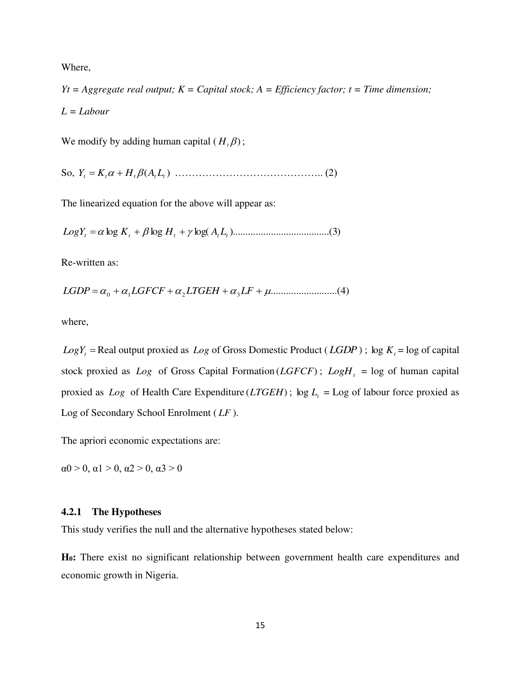Where,

*Yt = Aggregate real output; K = Capital stock; A = Efficiency factor; t = Time dimension; L = Labour* 

We modify by adding human capital  $(H_t, \beta)$ ;

So, ( ) *<sup>Y</sup><sup>t</sup>* <sup>=</sup> *<sup>K</sup>t* <sup>+</sup> *<sup>H</sup>t <sup>A</sup> <sup>L</sup>tt* …………………………………….. (2)

The linearized equation for the above will appear as:

*LogY<sup>t</sup>* <sup>=</sup> log *<sup>K</sup><sup>t</sup>* <sup>+</sup> log *<sup>H</sup><sup>t</sup>* <sup>+</sup> log( *<sup>A</sup> <sup>L</sup>tt* )......................................( )3

Re-written as:

*LGDP* <sup>=</sup> <sup>0</sup> <sup>+</sup>1*LGFCF* <sup>+</sup> <sup>2</sup>*LTGEH* <sup>+</sup>3*LF* <sup>+</sup> ..........................( )4

where,

 $Log Y_t$  = Real output proxied as *Log* of Gross Domestic Product (*LGDP*);  $log K_t$  = log of capital stock proxied as  $Log$  of Gross Capital Formation ( $LGFCF$ );  $LogH_t = log$  of human capital proxied as *Log* of Health Care Expenditure (*LTGEH*);  $\log L_t = \text{Log of labour force provided as}$ Log of Secondary School Enrolment ( *LF* ).

The apriori economic expectations are:

 $\alpha$ 0 > 0,  $\alpha$ 1 > 0,  $\alpha$ 2 > 0,  $\alpha$ 3 > 0

#### **4.2.1 The Hypotheses**

This study verifies the null and the alternative hypotheses stated below:

**H0:** There exist no significant relationship between government health care expenditures and economic growth in Nigeria.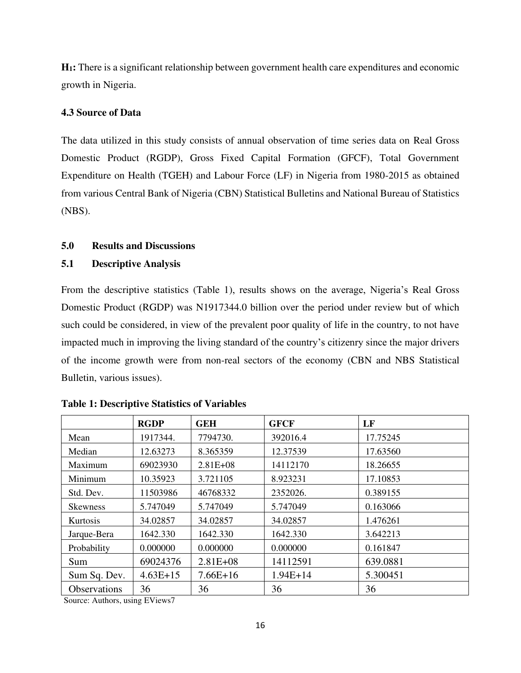**H1:** There is a significant relationship between government health care expenditures and economic growth in Nigeria.

# **4.3 Source of Data**

The data utilized in this study consists of annual observation of time series data on Real Gross Domestic Product (RGDP), Gross Fixed Capital Formation (GFCF), Total Government Expenditure on Health (TGEH) and Labour Force (LF) in Nigeria from 1980-2015 as obtained from various Central Bank of Nigeria (CBN) Statistical Bulletins and National Bureau of Statistics (NBS).

# **5.0 Results and Discussions**

# **5.1 Descriptive Analysis**

From the descriptive statistics (Table 1), results shows on the average, Nigeria's Real Gross Domestic Product (RGDP) was N1917344.0 billion over the period under review but of which such could be considered, in view of the prevalent poor quality of life in the country, to not have impacted much in improving the living standard of the country's citizenry since the major drivers of the income growth were from non-real sectors of the economy (CBN and NBS Statistical Bulletin, various issues).

|                     | <b>RGDP</b> | <b>GEH</b>   | <b>GFCF</b> | LF       |
|---------------------|-------------|--------------|-------------|----------|
| Mean                | 1917344.    | 7794730.     | 392016.4    | 17.75245 |
| Median              | 12.63273    | 8.365359     | 12.37539    | 17.63560 |
| Maximum             | 69023930    | $2.81E + 08$ | 14112170    | 18.26655 |
| Minimum             | 10.35923    | 3.721105     | 8.923231    | 17.10853 |
| Std. Dev.           | 11503986    | 46768332     | 2352026.    | 0.389155 |
| <b>Skewness</b>     | 5.747049    | 5.747049     | 5.747049    | 0.163066 |
| Kurtosis            | 34.02857    | 34.02857     | 34.02857    | 1.476261 |
| Jarque-Bera         | 1642.330    | 1642.330     | 1642.330    | 3.642213 |
| Probability         | 0.000000    | 0.000000     | 0.000000    | 0.161847 |
| Sum                 | 69024376    | $2.81E + 08$ | 14112591    | 639.0881 |
| Sum Sq. Dev.        | $4.63E+15$  | $7.66E+16$   | $1.94E+14$  | 5.300451 |
| <b>Observations</b> | 36          | 36           | 36          | 36       |

**Table 1: Descriptive Statistics of Variables** 

Source: Authors, using EViews7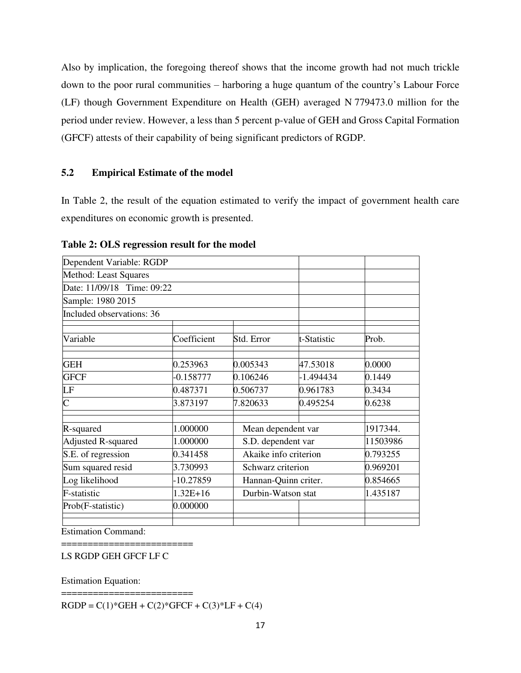Also by implication, the foregoing thereof shows that the income growth had not much trickle down to the poor rural communities – harboring a huge quantum of the country's Labour Force (LF) though Government Expenditure on Health (GEH) averaged N 779473.0 million for the period under review. However, a less than 5 percent p-value of GEH and Gross Capital Formation (GFCF) attests of their capability of being significant predictors of RGDP.

# **5.2 Empirical Estimate of the model**

In Table 2, the result of the equation estimated to verify the impact of government health care expenditures on economic growth is presented.

| Dependent Variable: RGDP   |             |            |                       |        |
|----------------------------|-------------|------------|-----------------------|--------|
| Method: Least Squares      |             |            |                       |        |
| Date: 11/09/18 Time: 09:22 |             |            |                       |        |
| Sample: 1980 2015          |             |            |                       |        |
| Included observations: 36  |             |            |                       |        |
| Variable                   | Coefficient | Std. Error | t-Statistic           | Prob.  |
| <b>GEH</b>                 | 0.253963    | 0.005343   | 47.53018              | 0.0000 |
| <b>GFCF</b>                | $-0.158777$ | 0.106246   | $-1.494434$           | 0.1449 |
| LF                         | 0.487371    | 0.506737   | 0.961783              | 0.3434 |
| $\overline{\rm C}$         | 3.873197    | 7.820633   | 0.495254              | 0.6238 |
| R-squared                  | 1.000000    |            | Mean dependent var    |        |
| Adjusted R-squared         | 1.000000    |            | S.D. dependent var    |        |
| S.E. of regression         | 0.341458    |            | Akaike info criterion |        |
| Sum squared resid          | 3.730993    |            | Schwarz criterion     |        |
| Log likelihood             | -10.27859   |            | Hannan-Quinn criter.  |        |
| F-statistic                | $1.32E+16$  |            | Durbin-Watson stat    |        |
| Prob(F-statistic)          | 0.000000    |            |                       |        |
|                            |             |            |                       |        |

**Table 2: OLS regression result for the model** 

Estimation Command:

======================== LS RGDP GEH GFCF LF C

Estimation Equation:

========================  $RGDP = C(1)*GEH + C(2)*GFCF + C(3)*LF + C(4)$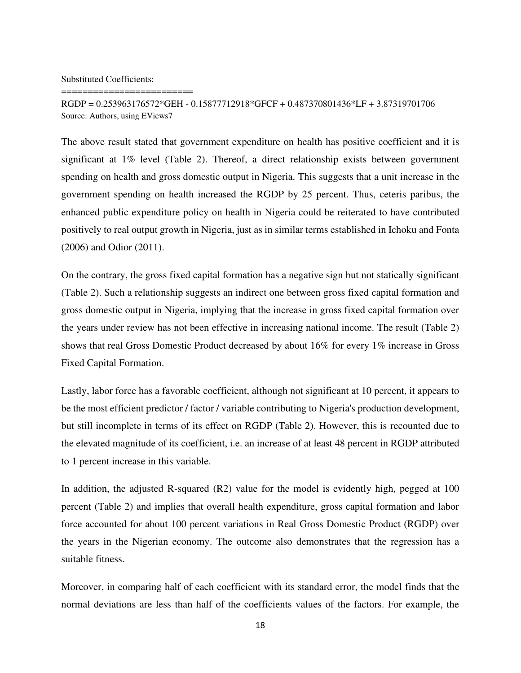Substituted Coefficients:

========================

RGDP = 0.253963176572\*GEH - 0.15877712918\*GFCF + 0.487370801436\*LF + 3.87319701706 Source: Authors, using EViews7

The above result stated that government expenditure on health has positive coefficient and it is significant at 1% level (Table 2). Thereof, a direct relationship exists between government spending on health and gross domestic output in Nigeria. This suggests that a unit increase in the government spending on health increased the RGDP by 25 percent. Thus, ceteris paribus, the enhanced public expenditure policy on health in Nigeria could be reiterated to have contributed positively to real output growth in Nigeria, just as in similar terms established in Ichoku and Fonta (2006) and Odior (2011).

On the contrary, the gross fixed capital formation has a negative sign but not statically significant (Table 2). Such a relationship suggests an indirect one between gross fixed capital formation and gross domestic output in Nigeria, implying that the increase in gross fixed capital formation over the years under review has not been effective in increasing national income. The result (Table 2) shows that real Gross Domestic Product decreased by about 16% for every 1% increase in Gross Fixed Capital Formation.

Lastly, labor force has a favorable coefficient, although not significant at 10 percent, it appears to be the most efficient predictor / factor / variable contributing to Nigeria's production development, but still incomplete in terms of its effect on RGDP (Table 2). However, this is recounted due to the elevated magnitude of its coefficient, i.e. an increase of at least 48 percent in RGDP attributed to 1 percent increase in this variable.

In addition, the adjusted R-squared (R2) value for the model is evidently high, pegged at 100 percent (Table 2) and implies that overall health expenditure, gross capital formation and labor force accounted for about 100 percent variations in Real Gross Domestic Product (RGDP) over the years in the Nigerian economy. The outcome also demonstrates that the regression has a suitable fitness.

Moreover, in comparing half of each coefficient with its standard error, the model finds that the normal deviations are less than half of the coefficients values of the factors. For example, the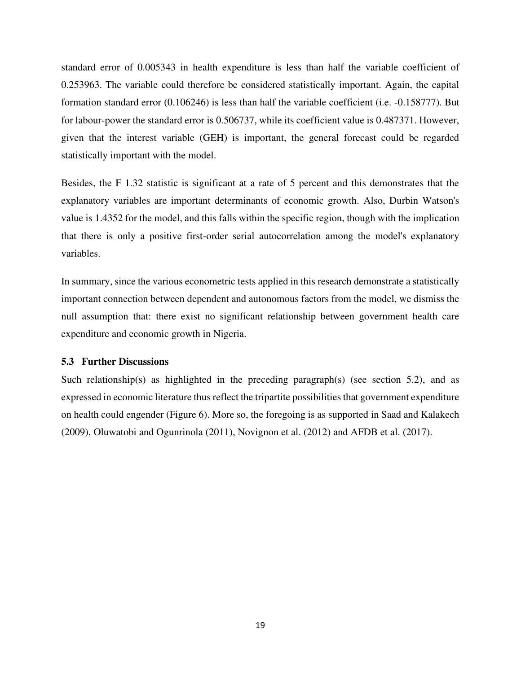standard error of 0.005343 in health expenditure is less than half the variable coefficient of 0.253963. The variable could therefore be considered statistically important. Again, the capital formation standard error (0.106246) is less than half the variable coefficient (i.e. -0.158777). But for labour-power the standard error is 0.506737, while its coefficient value is 0.487371. However, given that the interest variable (GEH) is important, the general forecast could be regarded statistically important with the model.

Besides, the F 1.32 statistic is significant at a rate of 5 percent and this demonstrates that the explanatory variables are important determinants of economic growth. Also, Durbin Watson's value is 1.4352 for the model, and this falls within the specific region, though with the implication that there is only a positive first-order serial autocorrelation among the model's explanatory variables.

In summary, since the various econometric tests applied in this research demonstrate a statistically important connection between dependent and autonomous factors from the model, we dismiss the null assumption that: there exist no significant relationship between government health care expenditure and economic growth in Nigeria.

#### **5.3 Further Discussions**

Such relationship(s) as highlighted in the preceding paragraph(s) (see section 5.2), and as expressed in economic literature thus reflect the tripartite possibilities that government expenditure on health could engender (Figure 6). More so, the foregoing is as supported in Saad and Kalakech (2009), Oluwatobi and Ogunrinola (2011), Novignon et al. (2012) and AFDB et al. (2017).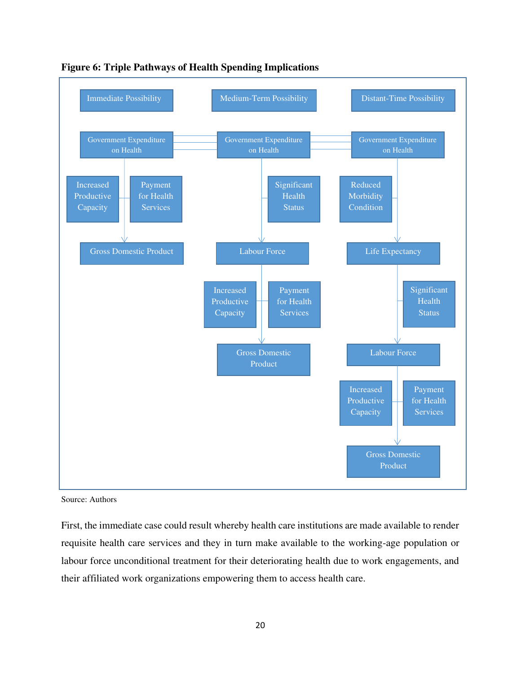



Source: Authors

First, the immediate case could result whereby health care institutions are made available to render requisite health care services and they in turn make available to the working-age population or labour force unconditional treatment for their deteriorating health due to work engagements, and their affiliated work organizations empowering them to access health care.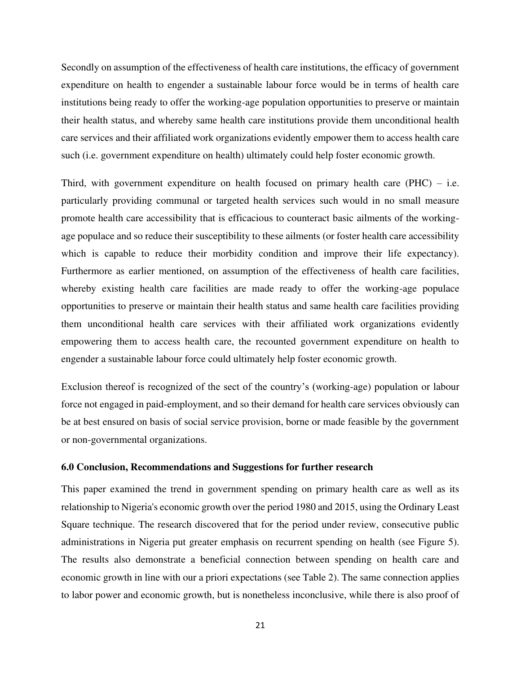Secondly on assumption of the effectiveness of health care institutions, the efficacy of government expenditure on health to engender a sustainable labour force would be in terms of health care institutions being ready to offer the working-age population opportunities to preserve or maintain their health status, and whereby same health care institutions provide them unconditional health care services and their affiliated work organizations evidently empower them to access health care such (i.e. government expenditure on health) ultimately could help foster economic growth.

Third, with government expenditure on health focused on primary health care  $(PHC) - i.e.$ particularly providing communal or targeted health services such would in no small measure promote health care accessibility that is efficacious to counteract basic ailments of the workingage populace and so reduce their susceptibility to these ailments (or foster health care accessibility which is capable to reduce their morbidity condition and improve their life expectancy). Furthermore as earlier mentioned, on assumption of the effectiveness of health care facilities, whereby existing health care facilities are made ready to offer the working-age populace opportunities to preserve or maintain their health status and same health care facilities providing them unconditional health care services with their affiliated work organizations evidently empowering them to access health care, the recounted government expenditure on health to engender a sustainable labour force could ultimately help foster economic growth.

Exclusion thereof is recognized of the sect of the country's (working-age) population or labour force not engaged in paid-employment, and so their demand for health care services obviously can be at best ensured on basis of social service provision, borne or made feasible by the government or non-governmental organizations.

#### **6.0 Conclusion, Recommendations and Suggestions for further research**

This paper examined the trend in government spending on primary health care as well as its relationship to Nigeria's economic growth over the period 1980 and 2015, using the Ordinary Least Square technique. The research discovered that for the period under review, consecutive public administrations in Nigeria put greater emphasis on recurrent spending on health (see Figure 5). The results also demonstrate a beneficial connection between spending on health care and economic growth in line with our a priori expectations (see Table 2). The same connection applies to labor power and economic growth, but is nonetheless inconclusive, while there is also proof of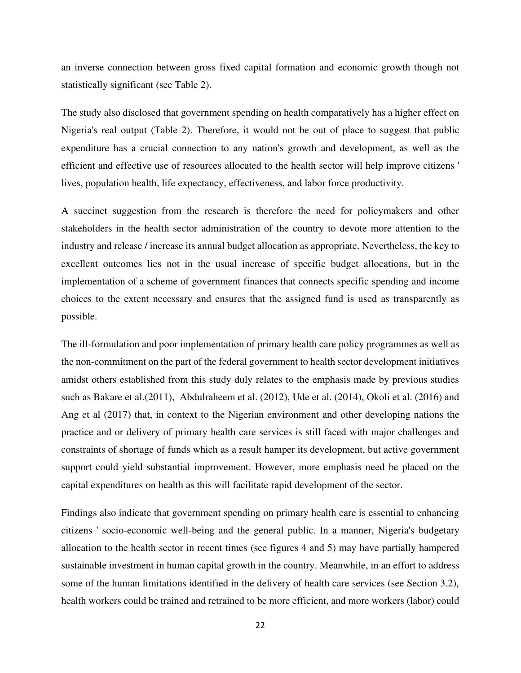an inverse connection between gross fixed capital formation and economic growth though not statistically significant (see Table 2).

The study also disclosed that government spending on health comparatively has a higher effect on Nigeria's real output (Table 2). Therefore, it would not be out of place to suggest that public expenditure has a crucial connection to any nation's growth and development, as well as the efficient and effective use of resources allocated to the health sector will help improve citizens ' lives, population health, life expectancy, effectiveness, and labor force productivity.

A succinct suggestion from the research is therefore the need for policymakers and other stakeholders in the health sector administration of the country to devote more attention to the industry and release / increase its annual budget allocation as appropriate. Nevertheless, the key to excellent outcomes lies not in the usual increase of specific budget allocations, but in the implementation of a scheme of government finances that connects specific spending and income choices to the extent necessary and ensures that the assigned fund is used as transparently as possible.

The ill-formulation and poor implementation of primary health care policy programmes as well as the non-commitment on the part of the federal government to health sector development initiatives amidst others established from this study duly relates to the emphasis made by previous studies such as Bakare et al.(2011), Abdulraheem et al. (2012), Ude et al. (2014), Okoli et al. (2016) and Ang et al (2017) that, in context to the Nigerian environment and other developing nations the practice and or delivery of primary health care services is still faced with major challenges and constraints of shortage of funds which as a result hamper its development, but active government support could yield substantial improvement. However, more emphasis need be placed on the capital expenditures on health as this will facilitate rapid development of the sector.

Findings also indicate that government spending on primary health care is essential to enhancing citizens ' socio-economic well-being and the general public. In a manner, Nigeria's budgetary allocation to the health sector in recent times (see figures 4 and 5) may have partially hampered sustainable investment in human capital growth in the country. Meanwhile, in an effort to address some of the human limitations identified in the delivery of health care services (see Section 3.2), health workers could be trained and retrained to be more efficient, and more workers (labor) could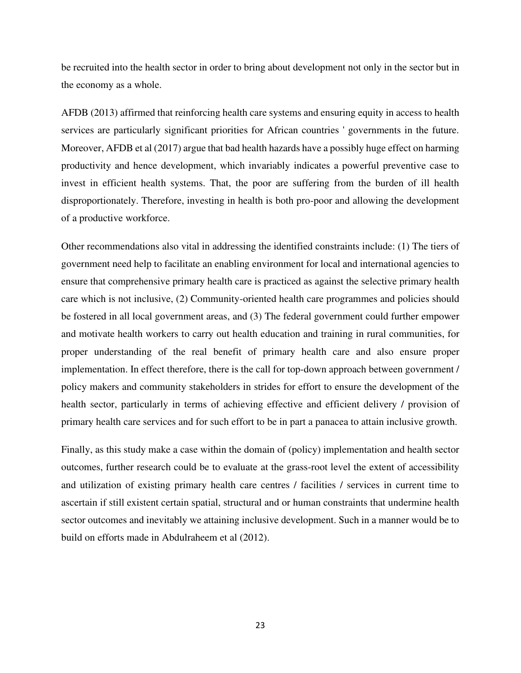be recruited into the health sector in order to bring about development not only in the sector but in the economy as a whole.

AFDB (2013) affirmed that reinforcing health care systems and ensuring equity in access to health services are particularly significant priorities for African countries ' governments in the future. Moreover, AFDB et al (2017) argue that bad health hazards have a possibly huge effect on harming productivity and hence development, which invariably indicates a powerful preventive case to invest in efficient health systems. That, the poor are suffering from the burden of ill health disproportionately. Therefore, investing in health is both pro-poor and allowing the development of a productive workforce.

Other recommendations also vital in addressing the identified constraints include: (1) The tiers of government need help to facilitate an enabling environment for local and international agencies to ensure that comprehensive primary health care is practiced as against the selective primary health care which is not inclusive, (2) Community-oriented health care programmes and policies should be fostered in all local government areas, and (3) The federal government could further empower and motivate health workers to carry out health education and training in rural communities, for proper understanding of the real benefit of primary health care and also ensure proper implementation. In effect therefore, there is the call for top-down approach between government / policy makers and community stakeholders in strides for effort to ensure the development of the health sector, particularly in terms of achieving effective and efficient delivery / provision of primary health care services and for such effort to be in part a panacea to attain inclusive growth.

Finally, as this study make a case within the domain of (policy) implementation and health sector outcomes, further research could be to evaluate at the grass-root level the extent of accessibility and utilization of existing primary health care centres / facilities / services in current time to ascertain if still existent certain spatial, structural and or human constraints that undermine health sector outcomes and inevitably we attaining inclusive development. Such in a manner would be to build on efforts made in Abdulraheem et al (2012).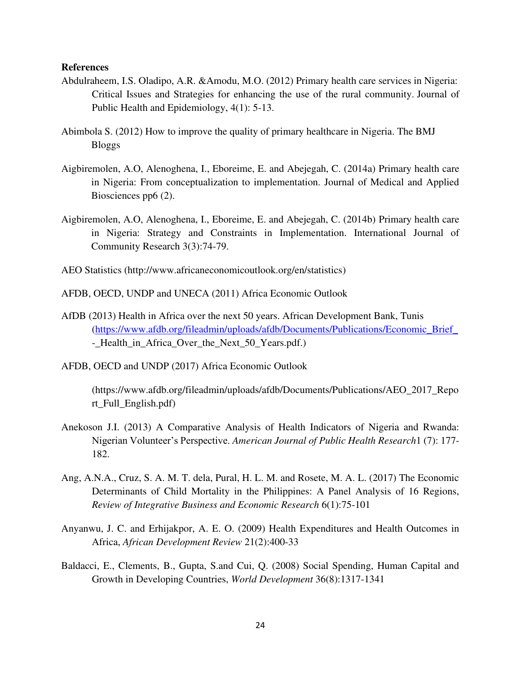#### **References**

- Abdulraheem, I.S. Oladipo, A.R. &Amodu, M.O. (2012) Primary health care services in Nigeria: Critical Issues and Strategies for enhancing the use of the rural community. Journal of Public Health and Epidemiology, 4(1): 5-13.
- Abimbola S. (2012) How to improve the quality of primary healthcare in Nigeria. The BMJ Bloggs
- Aigbiremolen, A.O, Alenoghena, I., Eboreime, E. and Abejegah, C. (2014a) Primary health care in Nigeria: From conceptualization to implementation. Journal of Medical and Applied Biosciences pp6 (2).
- Aigbiremolen, A.O, Alenoghena, I., Eboreime, E. and Abejegah, C. (2014b) Primary health care in Nigeria: Strategy and Constraints in Implementation. International Journal of Community Research 3(3):74-79.
- AEO Statistics [\(http://www.africaneconomicoutlook.org/en/statistics\)](http://www.africaneconomicoutlook.org/en/statistics)
- AFDB, OECD, UNDP and UNECA (2011) Africa Economic Outlook
- AfDB (2013) Health in Africa over the next 50 years. African Development Bank, Tunis [\(https://www.afdb.org/fileadmin/uploads/afdb/Documents/Publications/Economic\\_Brief\\_](https://www.afdb.org/fileadmin/uploads/afdb/Documents/Publications/Economic_Brief_) - Health in Africa Over the Next 50 Years.pdf.)
- AFDB, OECD and UNDP (2017) Africa Economic Outlook

(https://www.afdb.org/fileadmin/uploads/afdb/Documents/Publications/AEO\_2017\_Repo rt\_Full\_English.pdf)

- Anekoson J.I. (2013) A Comparative Analysis of Health Indicators of Nigeria and Rwanda: Nigerian Volunteer's Perspective. *American Journal of Public Health Research*1 (7): 177- 182.
- Ang, A.N.A., Cruz, S. A. M. T. dela, Pural, H. L. M. and Rosete, M. A. L. (2017) The Economic Determinants of Child Mortality in the Philippines: A Panel Analysis of 16 Regions, *Review of Integrative Business and Economic Research* 6(1):75-101
- Anyanwu, J. C. and Erhijakpor, A. E. O. (2009) Health Expenditures and Health Outcomes in Africa, *African Development Review* 21(2):400-33
- Baldacci, E., Clements, B., Gupta, S.and Cui, Q. (2008) Social Spending, Human Capital and Growth in Developing Countries, *World Development* 36(8):1317-1341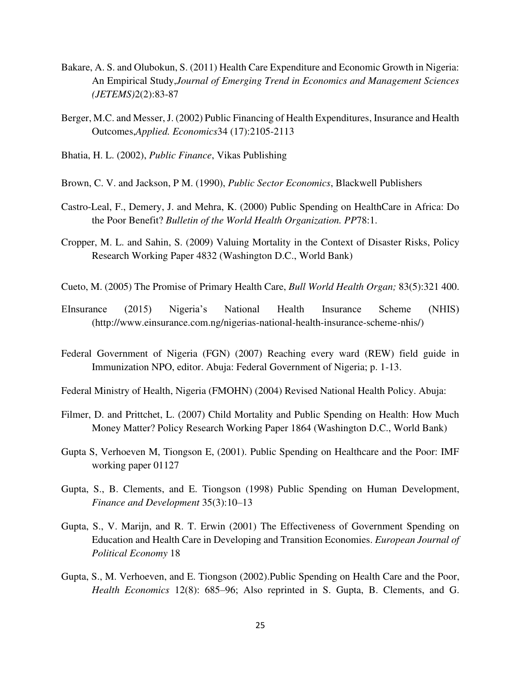- Bakare, A. S. and Olubokun, S. (2011) Health Care Expenditure and Economic Growth in Nigeria: An Empirical Study,*Journal of Emerging Trend in Economics and Management Sciences (JETEMS)*2(2):83-87
- Berger, M.C. and Messer, J. (2002) Public Financing of Health Expenditures, Insurance and Health Outcomes,*Applied. Economics*34 (17):2105-2113
- Bhatia, H. L. (2002), *Public Finance*, Vikas Publishing
- Brown, C. V. and Jackson, P M. (1990), *Public Sector Economics*, Blackwell Publishers
- Castro-Leal, F., Demery, J. and Mehra, K. (2000) Public Spending on HealthCare in Africa: Do the Poor Benefit? *Bulletin of the World Health Organization. PP*78:1.
- Cropper, M. L. and Sahin, S. (2009) Valuing Mortality in the Context of Disaster Risks, Policy Research Working Paper 4832 (Washington D.C., World Bank)
- Cueto, M. (2005) The Promise of Primary Health Care, *Bull World Health Organ;* 83(5):321 400.
- EInsurance (2015) Nigeria's National Health Insurance Scheme (NHIS) (http://www.einsurance.com.ng/nigerias-national-health-insurance-scheme-nhis/)
- Federal Government of Nigeria (FGN) (2007) Reaching every ward (REW) field guide in Immunization NPO, editor. Abuja: Federal Government of Nigeria; p. 1-13.
- Federal Ministry of Health, Nigeria (FMOHN) (2004) Revised National Health Policy. Abuja:
- Filmer, D. and Prittchet, L. (2007) Child Mortality and Public Spending on Health: How Much Money Matter? Policy Research Working Paper 1864 (Washington D.C., World Bank)
- Gupta S, Verhoeven M, Tiongson E, (2001). Public Spending on Healthcare and the Poor: IMF working paper 01127
- Gupta, S., B. Clements, and E. Tiongson (1998) Public Spending on Human Development, *Finance and Development* 35(3):10–13
- Gupta, S., V. Marijn, and R. T. Erwin (2001) The Effectiveness of Government Spending on Education and Health Care in Developing and Transition Economies. *European Journal of Political Economy* 18
- Gupta, S., M. Verhoeven, and E. Tiongson (2002).Public Spending on Health Care and the Poor, *Health Economics* 12(8): 685–96; Also reprinted in S. Gupta, B. Clements, and G.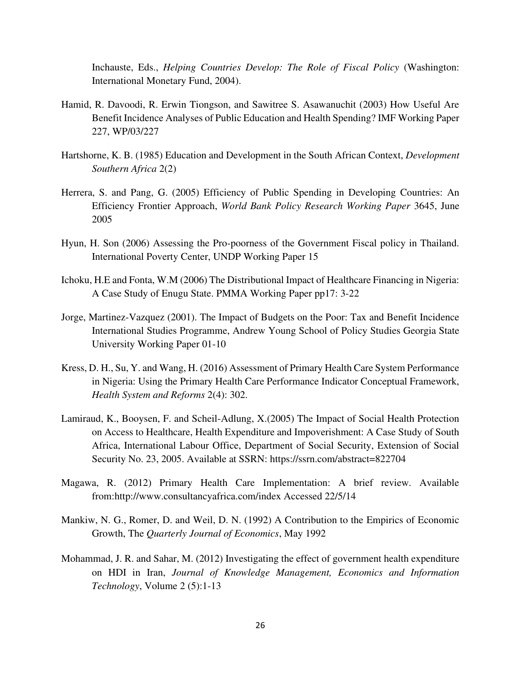Inchauste, Eds., *Helping Countries Develop: The Role of Fiscal Policy* (Washington: International Monetary Fund, 2004).

- Hamid, R. Davoodi, R. Erwin Tiongson, and Sawitree S. Asawanuchit (2003) How Useful Are Benefit Incidence Analyses of Public Education and Health Spending? IMF Working Paper 227, WP/03/227
- Hartshorne, K. B. (1985) Education and Development in the South African Context, *Development Southern Africa* 2(2)
- Herrera, S. and Pang, G. (2005) Efficiency of Public Spending in Developing Countries: An Efficiency Frontier Approach, *World Bank Policy Research Working Paper* 3645, June 2005
- Hyun, H. Son (2006) Assessing the Pro-poorness of the Government Fiscal policy in Thailand. International Poverty Center, UNDP Working Paper 15
- Ichoku, H.E and Fonta, W.M (2006) The Distributional Impact of Healthcare Financing in Nigeria: A Case Study of Enugu State. PMMA Working Paper pp17: 3-22
- Jorge, Martinez-Vazquez (2001). The Impact of Budgets on the Poor: Tax and Benefit Incidence International Studies Programme, Andrew Young School of Policy Studies Georgia State University Working Paper 01-10
- Kress, D. H., Su, Y. and Wang, H. (2016) Assessment of Primary Health Care System Performance in Nigeria: Using the Primary Health Care Performance Indicator Conceptual Framework, *Health System and Reforms* 2(4): 302.
- Lamiraud, K., Booysen, F. and Scheil-Adlung, X.(2005) The Impact of Social Health Protection on Access to Healthcare, Health Expenditure and Impoverishment: A Case Study of South Africa, International Labour Office, Department of Social Security, Extension of Social Security No. 23, 2005. Available at SSRN:<https://ssrn.com/abstract=822704>
- Magawa, R. (2012) Primary Health Care Implementation: A brief review. Available from:http://www.consultancyafrica.com/index Accessed 22/5/14
- Mankiw, N. G., Romer, D. and Weil, D. N. (1992) A Contribution to the Empirics of Economic Growth, The *Quarterly Journal of Economics*, May 1992
- Mohammad, J. R. and Sahar, M. (2012) Investigating the effect of government health expenditure on HDI in Iran, *[Journal of Knowledge Management, Economics and Information](https://profdoc.um.ac.ir/list-magname-Journal%20of%20Knowledge%20Management,%20Economics%20and%20Information%20Technology.html)  [Technology](https://profdoc.um.ac.ir/list-magname-Journal%20of%20Knowledge%20Management,%20Economics%20and%20Information%20Technology.html)*, Volume 2 (5):1-13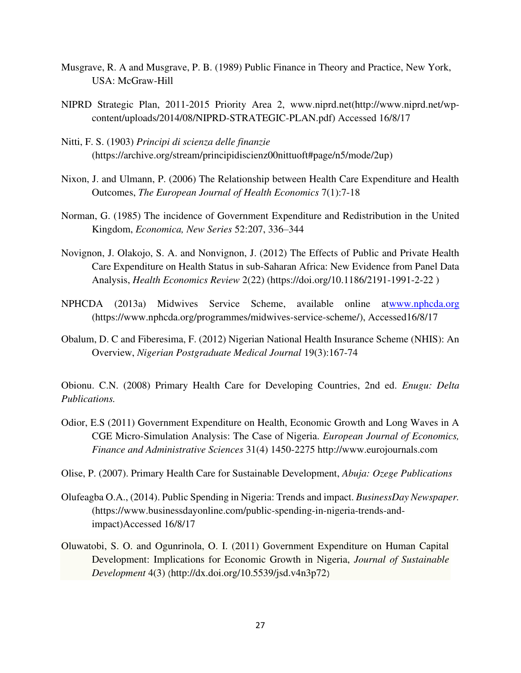- Musgrave, R. A and Musgrave, P. B. (1989) Public Finance in Theory and Practice, New York, USA: McGraw-Hill
- NIPRD Strategic Plan, 2011-2015 Priority Area 2, [www.niprd.net\(](http://www.niprd.net/)http://www.niprd.net/wpcontent/uploads/2014/08/NIPRD-STRATEGIC-PLAN.pdf) Accessed 16/8/17
- Nitti, F. S. (1903) *Principi di scienza delle finanzie*  (https://archive.org/stream/principidiscienz00nittuoft#page/n5/mode/2up)
- Nixon, J. and Ulmann, P. (2006) The Relationship between Health Care Expenditure and Health Outcomes, *The European Journal of Health Economics* 7(1):7-18
- Norman, G. (1985) The incidence of Government Expenditure and Redistribution in the United Kingdom, *Economica, New Series* 52:207, 336–344
- Novignon, J. Olakojo, S. A. and Nonvignon, J. (2012) The Effects of Public and Private Health Care Expenditure on Health Status in sub-Saharan Africa: New Evidence from Panel Data Analysis, *Health Economics Review* 2(22) (https://doi.org/10.1186/2191-1991-2-22 )
- NPHCDA (2013a) Midwives Service Scheme, available online a[twww.nphcda.org](http://www.nphcda.org/) (https://www.nphcda.org/programmes/midwives-service-scheme/), Accessed16/8/17
- Obalum, D. C and Fiberesima, F. (2012) Nigerian National Health Insurance Scheme (NHIS): An Overview, *Nigerian Postgraduate Medical Journal* 19(3):167-74

Obionu. C.N. (2008) Primary Health Care for Developing Countries, 2nd ed. *Enugu: Delta Publications.* 

- Odior, E.S (2011) Government Expenditure on Health, Economic Growth and Long Waves in A CGE Micro-Simulation Analysis: The Case of Nigeria. *European Journal of Economics, Finance and Administrative Sciences* 31(4) 1450-2275 http://www.eurojournals.com
- Olise, P. (2007). Primary Health Care for Sustainable Development, *Abuja: Ozege Publications*
- Olufeagba O.A., (2014). Public Spending in Nigeria: Trends and impact. *BusinessDay Newspaper.* (https://www.businessdayonline.com/public-spending-in-nigeria-trends-andimpact)Accessed 16/8/17
- Oluwatobi, S. O. and Ogunrinola, O. I. (2011) Government Expenditure on Human Capital Development: Implications for Economic Growth in Nigeria, *Journal of Sustainable Development* 4(3) (<http://dx.doi.org/10.5539/jsd.v4n3p72>)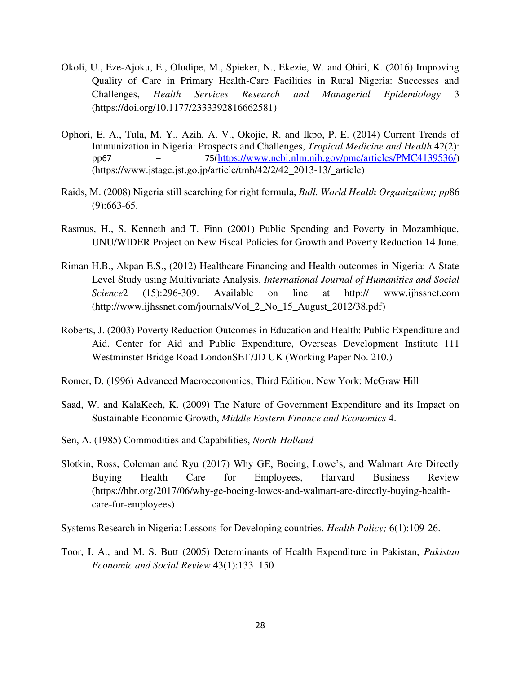- Okoli, U., Eze-Ajoku, E., Oludipe, M., Spieker, N., Ekezie, W. and Ohiri, K. (2016) Improving Quality of Care in Primary Health-Care Facilities in Rural Nigeria: Successes and Challenges, *Health Services Research and Managerial Epidemiology* 3 [\(https://doi.org/10.1177/2333392816662581\)](https://doi.org/10.1177/2333392816662581)
- Ophori, E. A., Tula, M. Y., Azih, A. V., Okojie, R. and Ikpo, P. E. (2014) Current Trends of Immunization in Nigeria: Prospects and Challenges, *Tropical Medicine and Health* 42(2): pp67 – 75[\(https://www.ncbi.nlm.nih.gov/pmc/articles/PMC4139536/\)](https://www.ncbi.nlm.nih.gov/pmc/articles/PMC4139536/) (https://www.jstage.jst.go.jp/article/tmh/42/2/42\_2013-13/\_article)
- Raids, M. (2008) Nigeria still searching for right formula, *Bull. World Health Organization; pp*86 (9):663-65.
- Rasmus, H., S. Kenneth and T. Finn (2001) Public Spending and Poverty in Mozambique, UNU/WIDER Project on New Fiscal Policies for Growth and Poverty Reduction 14 June.
- Riman H.B., Akpan E.S., (2012) Healthcare Financing and Health outcomes in Nigeria: A State Level Study using Multivariate Analysis. *International Journal of Humanities and Social Science*2 (15):296-309. Available on line at http:// [www.ijhssnet.com](http://www.ijhssnet.com/)  (http://www.ijhssnet.com/journals/Vol\_2\_No\_15\_August\_2012/38.pdf)
- Roberts, J. (2003) Poverty Reduction Outcomes in Education and Health: Public Expenditure and Aid. Center for Aid and Public Expenditure, Overseas Development Institute 111 Westminster Bridge Road LondonSE17JD UK (Working Paper No. 210.)
- Romer, D. (1996) Advanced Macroeconomics, Third Edition, New York: McGraw Hill
- Saad, W. and KalaKech, K. (2009) The Nature of Government Expenditure and its Impact on Sustainable Economic Growth, *Middle Eastern Finance and Economics* 4.
- Sen, A. (1985) Commodities and Capabilities, *North-Holland*
- Slotkin, Ross, Coleman and Ryu (2017) [Why GE, Boeing, Lowe's, and Walmart Are Directly](http://links.mkt3142.com/ctt?kn=5&ms=MTc0MTM4OTUS1&r=MzU3NjUwMDg4NjM2S0&b=0&j=MTA0MDYyNzAzNgS2&mt=1&rt=0)  [Buying Health Care for Employees,](http://links.mkt3142.com/ctt?kn=5&ms=MTc0MTM4OTUS1&r=MzU3NjUwMDg4NjM2S0&b=0&j=MTA0MDYyNzAzNgS2&mt=1&rt=0) Harvard Business Review (https://hbr.org/2017/06/why-ge-boeing-lowes-and-walmart-are-directly-buying-healthcare-for-employees)
- Systems Research in Nigeria: Lessons for Developing countries. *Health Policy;* 6(1):109-26.
- Toor, I. A., and M. S. Butt (2005) Determinants of Health Expenditure in Pakistan, *Pakistan Economic and Social Review* 43(1):133–150.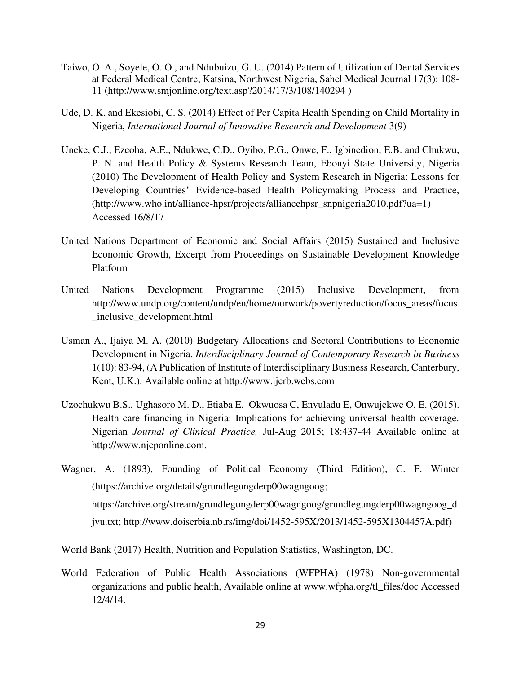- Taiwo, O. A., Soyele, O. O., and Ndubuizu, G. U. (2014) Pattern of Utilization of Dental Services at Federal Medical Centre, Katsina, Northwest Nigeria, Sahel Medical Journal 17(3): 108- 11 [\(http://www.smjonline.org/text.asp?2014/17/3/108/140294](http://www.smjonline.org/text.asp?2014/17/3/108/140294) )
- Ude, D. K. and Ekesiobi, C. S. (2014) Effect of Per Capita Health Spending on Child Mortality in Nigeria, *International Journal of Innovative Research and Development* 3(9)
- Uneke, C.J., Ezeoha, A.E., Ndukwe, C.D., Oyibo, P.G., Onwe, F., Igbinedion, E.B. and Chukwu, P. N. and Health Policy & Systems Research Team, Ebonyi State University, Nigeria (2010) The Development of Health Policy and System Research in Nigeria: Lessons for Developing Countries' Evidence-based Health Policymaking Process and Practice, (http://www.who.int/alliance-hpsr/projects/alliancehpsr\_snpnigeria2010.pdf?ua=1) Accessed 16/8/17
- United Nations Department of Economic and Social Affairs (2015) Sustained and Inclusive Economic Growth, Excerpt from Proceedings on Sustainable Development Knowledge Platform
- United Nations Development Programme (2015) Inclusive Development, from http://www.undp.org/content/undp/en/home/ourwork/povertyreduction/focus\_areas/focus \_inclusive\_development.html
- Usman A., Ijaiya M. A. (2010) Budgetary Allocations and Sectoral Contributions to Economic Development in Nigeria. *Interdisciplinary Journal of Contemporary Research in Business*  1(10): 83-94, (A Publication of Institute of Interdisciplinary Business Research, Canterbury, Kent, U.K.). Available online at [http://www.ijcrb.webs.com](http://www.ijcrb.webs.com/)
- Uzochukwu B.S., Ughasoro M. D., Etiaba E, Okwuosa C, Envuladu E, Onwujekwe O. E. (2015). Health care financing in Nigeria: Implications for achieving universal health coverage. Nigerian *Journal of Clinical Practice,* Jul-Aug 2015; 18:437-44 Available online at [http://www.njcponline.com.](http://www.njcponline.com/)
- Wagner, A. (1893), Founding of Political Economy (Third Edition), C. F. Winter (https://archive.org/details/grundlegungderp00wagngoog; https://archive.org/stream/grundlegungderp00wagngoog/grundlegungderp00wagngoog\_d jvu.txt; http://www.doiserbia.nb.rs/img/doi/1452-595X/2013/1452-595X1304457A.pdf)
- World Bank (2017) Health, Nutrition and Population Statistics, Washington, DC.
- World Federation of Public Health Associations (WFPHA) (1978) Non-governmental organizations and public health, Available online at www.wfpha.org/tl\_files/doc Accessed 12/4/14.